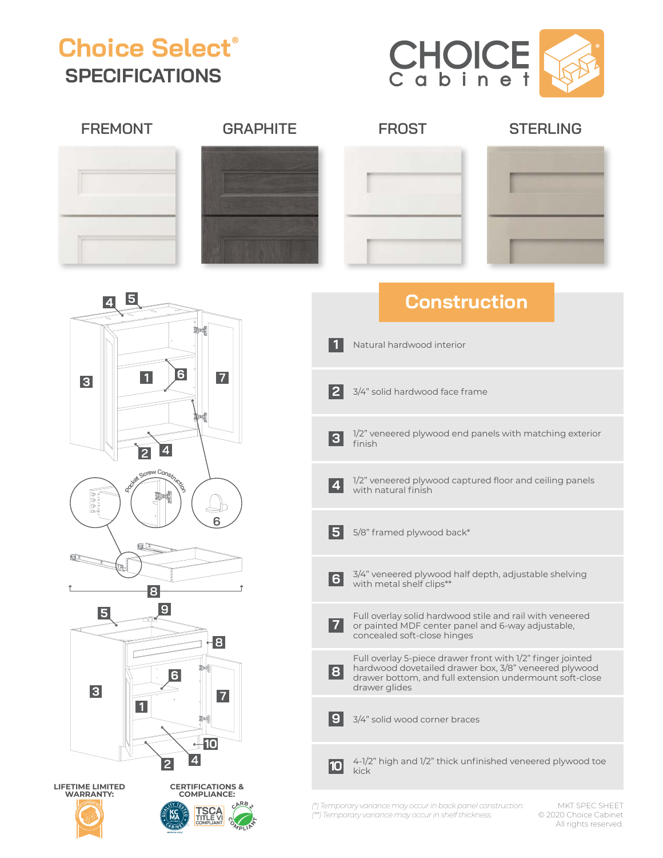## **Choice Select® SPECIFICATIONS**